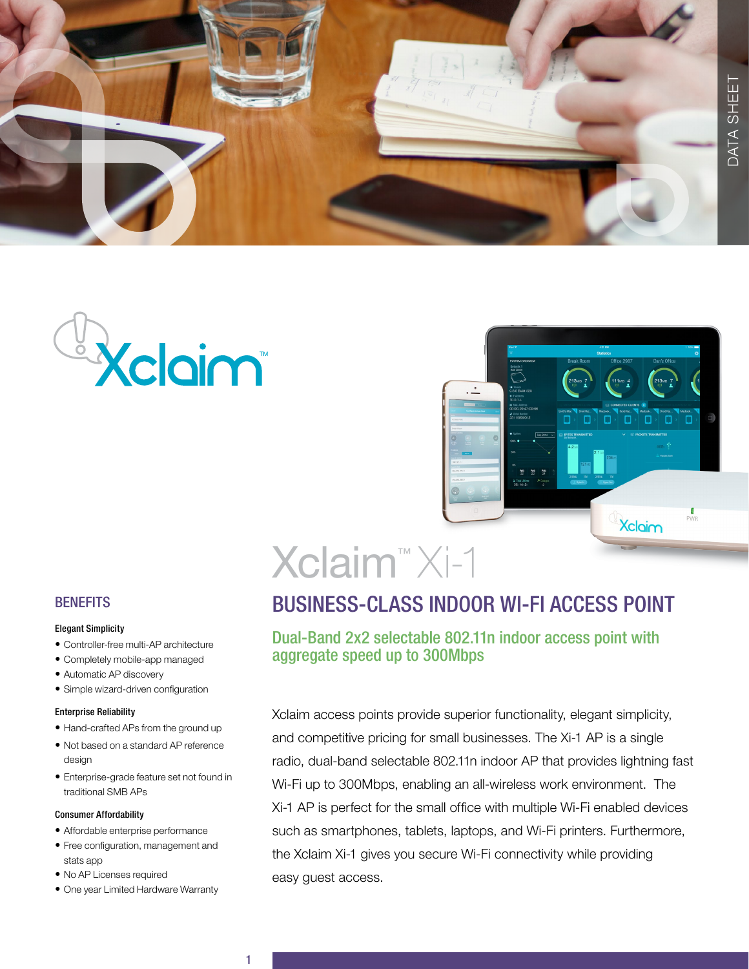





# Xclaim™ Xi-1

# BUSINESS-CLASS INDOOR WI-FI ACCESS POINT

## Dual-Band 2x2 selectable 802.11n indoor access point with aggregate speed up to 300Mbps

Xclaim access points provide superior functionality, elegant simplicity, and competitive pricing for small businesses. The Xi-1 AP is a single radio, dual-band selectable 802.11n indoor AP that provides lightning fast Wi-Fi up to 300Mbps, enabling an all-wireless work environment. The Xi-1 AP is perfect for the small office with multiple Wi-Fi enabled devices such as smartphones, tablets, laptops, and Wi-Fi printers. Furthermore, the Xclaim Xi-1 gives you secure Wi-Fi connectivity while providing easy guest access.

## **BENEFITS**

#### Elegant Simplicity

- Controller-free multi-AP architecture
- Completely mobile-app managed
- Automatic AP discovery
- Simple wizard-driven configuration

#### Enterprise Reliability

- Hand-crafted APs from the ground up
- Not based on a standard AP reference design
- Enterprise-grade feature set not found in traditional SMB APs

### Consumer Affordability

- Affordable enterprise performance
- Free configuration, management and stats app
- No AP Licenses required
- One year Limited Hardware Warranty

1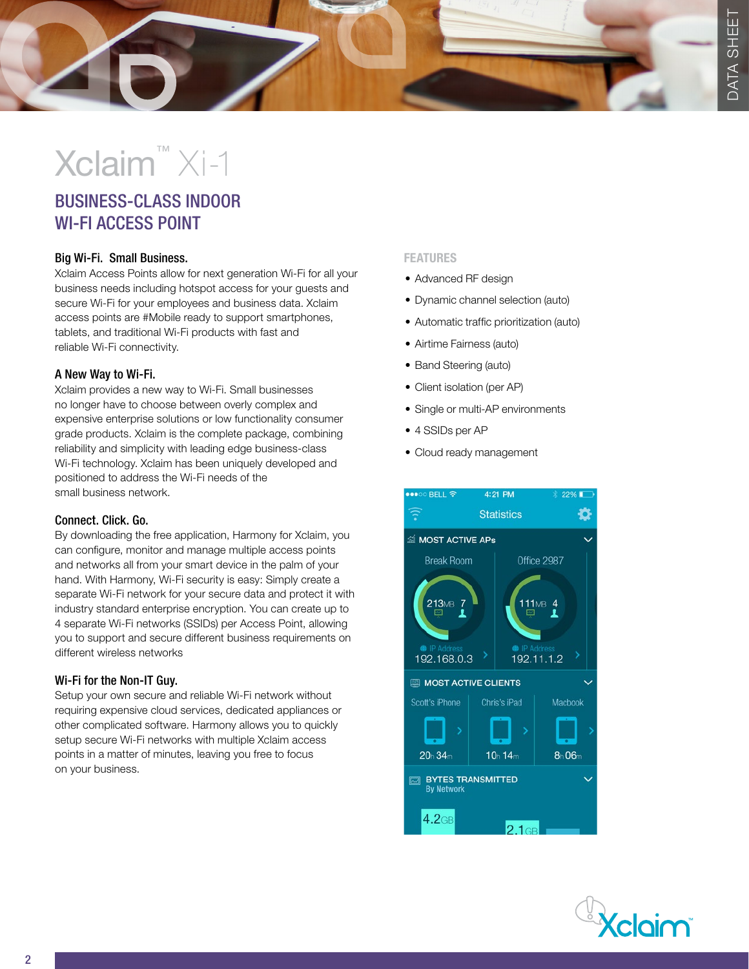# Xclaim™ Xi-1

# BUSINESS-CLASS INDOOR WI-FI ACCESS POINT

## Big Wi-Fi. Small Business.

Xclaim Access Points allow for next generation Wi-Fi for all your business needs including hotspot access for your guests and secure Wi-Fi for your employees and business data. Xclaim access points are #Mobile ready to support smartphones, tablets, and traditional Wi-Fi products with fast and reliable Wi-Fi connectivity.

## A New Way to Wi-Fi.

Xclaim provides a new way to Wi-Fi. Small businesses no longer have to choose between overly complex and expensive enterprise solutions or low functionality consumer grade products. Xclaim is the complete package, combining reliability and simplicity with leading edge business-class Wi-Fi technology. Xclaim has been uniquely developed and positioned to address the Wi-Fi needs of the small business network.

## Connect. Click. Go.

By downloading the free application, Harmony for Xclaim, you can configure, monitor and manage multiple access points and networks all from your smart device in the palm of your hand. With Harmony, Wi-Fi security is easy: Simply create a separate Wi-Fi network for your secure data and protect it with industry standard enterprise encryption. You can create up to 4 separate Wi-Fi networks (SSIDs) per Access Point, allowing you to support and secure different business requirements on different wireless networks

## Wi-Fi for the Non-IT Guy.

Setup your own secure and reliable Wi-Fi network without requiring expensive cloud services, dedicated appliances or other complicated software. Harmony allows you to quickly setup secure Wi-Fi networks with multiple Xclaim access points in a matter of minutes, leaving you free to focus on your business.

### FEATURES

- Advanced RF design
- Dynamic channel selection (auto)
- Automatic traffic prioritization (auto)
- Airtime Fairness (auto)
- Band Steering (auto)
- Client isolation (per AP)
- Single or multi-AP environments
- 4 SSIDs per AP
- Cloud ready management